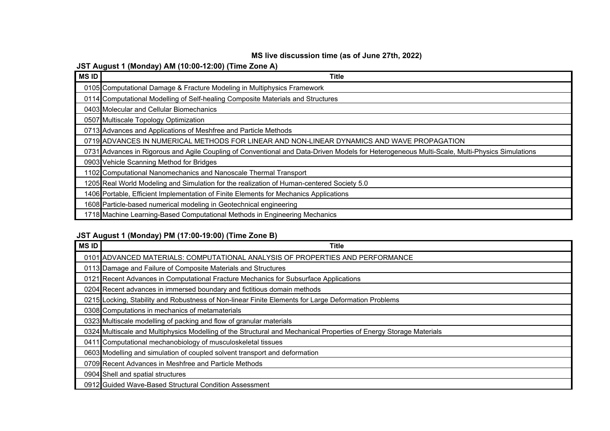## **MS live discussion time (as of June 27th, 2022)**

## **JST August 1 (Monday) AM (10:00-12:00) (Time Zone A)**

| MS ID | <b>Title</b>                                                                                                                                 |
|-------|----------------------------------------------------------------------------------------------------------------------------------------------|
|       | 0105 Computational Damage & Fracture Modeling in Multiphysics Framework                                                                      |
|       | 0114 Computational Modelling of Self-healing Composite Materials and Structures                                                              |
|       | 0403 Molecular and Cellular Biomechanics                                                                                                     |
|       | 0507 Multiscale Topology Optimization                                                                                                        |
|       | 0713 Advances and Applications of Meshfree and Particle Methods                                                                              |
|       | 0719 ADVANCES IN NUMERICAL METHODS FOR LINEAR AND NON-LINEAR DYNAMICS AND WAVE PROPAGATION                                                   |
|       | 0731 Advances in Rigorous and Agile Coupling of Conventional and Data-Driven Models for Heterogeneous Multi-Scale, Multi-Physics Simulations |
|       | 0903 Vehicle Scanning Method for Bridges                                                                                                     |
|       | 1102 Computational Nanomechanics and Nanoscale Thermal Transport                                                                             |
|       | 1205 Real World Modeling and Simulation for the realization of Human-centered Society 5.0                                                    |
|       | 1406 Portable, Efficient Implementation of Finite Elements for Mechanics Applications                                                        |
|       | 1608 Particle-based numerical modeling in Geotechnical engineering                                                                           |
|       | 1718 Machine Learning-Based Computational Methods in Engineering Mechanics                                                                   |

# **JST August 1 (Monday) PM (17:00-19:00) (Time Zone B)**

| MS ID | Title                                                                                                              |
|-------|--------------------------------------------------------------------------------------------------------------------|
|       | 0101 ADVANCED MATERIALS: COMPUTATIONAL ANALYSIS OF PROPERTIES AND PERFORMANCE                                      |
|       | 0113 Damage and Failure of Composite Materials and Structures                                                      |
|       | 0121 Recent Advances in Computational Fracture Mechanics for Subsurface Applications                               |
|       | 0204 Recent advances in immersed boundary and fictitious domain methods                                            |
|       | 0215 Locking, Stability and Robustness of Non-linear Finite Elements for Large Deformation Problems                |
|       | 0308 Computations in mechanics of metamaterials                                                                    |
|       | 0323 Multiscale modelling of packing and flow of granular materials                                                |
|       | 0324 Multiscale and Multiphysics Modelling of the Structural and Mechanical Properties of Energy Storage Materials |
|       | 0411 Computational mechanobiology of musculoskeletal tissues                                                       |
|       | 0603 Modelling and simulation of coupled solvent transport and deformation                                         |
|       | 0709 Recent Advances in Meshfree and Particle Methods                                                              |
|       | 0904 Shell and spatial structures                                                                                  |
|       | 0912 Guided Wave-Based Structural Condition Assessment                                                             |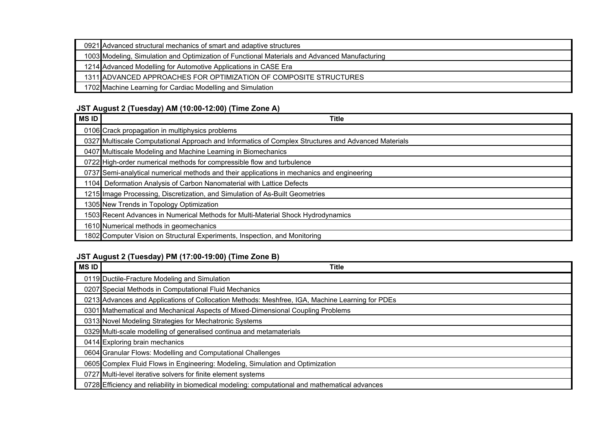| 0921 Advanced structural mechanics of smart and adaptive structures                           |
|-----------------------------------------------------------------------------------------------|
| 1003 Modeling, Simulation and Optimization of Functional Materials and Advanced Manufacturing |
| 1214 Advanced Modelling for Automotive Applications in CASE Era                               |
| 1311 ADVANCED APPROACHES FOR OPTIMIZATION OF COMPOSITE STRUCTURES                             |
| 1702 Machine Learning for Cardiac Modelling and Simulation                                    |

#### **JST August 2 (Tuesday) AM (10:00-12:00) (Time Zone A)**

| <b>MSID</b> | Title                                                                                               |
|-------------|-----------------------------------------------------------------------------------------------------|
|             | 0106 Crack propagation in multiphysics problems                                                     |
|             | 0327 Multiscale Computational Approach and Informatics of Complex Structures and Advanced Materials |
|             | 0407 Multiscale Modeling and Machine Learning in Biomechanics                                       |
|             | 0722 High-order numerical methods for compressible flow and turbulence                              |
|             | 0737 Semi-analytical numerical methods and their applications in mechanics and engineering          |
|             | 1104 Deformation Analysis of Carbon Nanomaterial with Lattice Defects                               |
|             | 1215 Image Processing, Discretization, and Simulation of As-Built Geometries                        |
|             | 1305 New Trends in Topology Optimization                                                            |
|             | 1503 Recent Advances in Numerical Methods for Multi-Material Shock Hydrodynamics                    |
|             | 1610 Numerical methods in geomechanics                                                              |
|             | 1802 Computer Vision on Structural Experiments, Inspection, and Monitoring                          |

# **JST August 2 (Tuesday) PM (17:00-19:00) (Time Zone B)**

| <b>MSID</b> | Title                                                                                           |
|-------------|-------------------------------------------------------------------------------------------------|
|             | 0119 Ductile-Fracture Modeling and Simulation                                                   |
|             | 0207 Special Methods in Computational Fluid Mechanics                                           |
|             | 0213 Advances and Applications of Collocation Methods: Meshfree, IGA, Machine Learning for PDEs |
|             | 0301 Mathematical and Mechanical Aspects of Mixed-Dimensional Coupling Problems                 |
|             | 0313 Novel Modeling Strategies for Mechatronic Systems                                          |
|             | 0329 Multi-scale modelling of generalised continua and metamaterials                            |
|             | 0414 Exploring brain mechanics                                                                  |
|             | 0604 Granular Flows: Modelling and Computational Challenges                                     |
|             | 0605 Complex Fluid Flows in Engineering: Modeling, Simulation and Optimization                  |
|             | 0727 Multi-level iterative solvers for finite element systems                                   |
|             | 0728 Efficiency and reliability in biomedical modeling: computational and mathematical advances |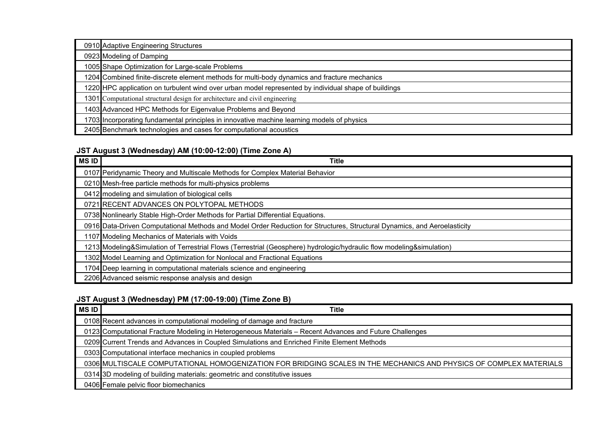| 0910 Adaptive Engineering Structures                                                                 |
|------------------------------------------------------------------------------------------------------|
| 0923 Modeling of Damping                                                                             |
| 1005 Shape Optimization for Large-scale Problems                                                     |
| 1204 Combined finite-discrete element methods for multi-body dynamics and fracture mechanics         |
| 1220 HPC application on turbulent wind over urban model represented by individual shape of buildings |
| 1301 Computational structural design for architecture and civil engineering                          |
| 1403 Advanced HPC Methods for Eigenvalue Problems and Beyond                                         |
| 1703 Incorporating fundamental principles in innovative machine learning models of physics           |
| 2405 Benchmark technologies and cases for computational acoustics                                    |

## **JST August 3 (Wednesday) AM (10:00-12:00) (Time Zone A)**

| MS ID | <b>Title</b>                                                                                                             |
|-------|--------------------------------------------------------------------------------------------------------------------------|
|       | 0107 Peridynamic Theory and Multiscale Methods for Complex Material Behavior                                             |
|       | 0210 Mesh-free particle methods for multi-physics problems                                                               |
|       | 0412 modeling and simulation of biological cells                                                                         |
|       | 0721 RECENT ADVANCES ON POLYTOPAL METHODS                                                                                |
|       | 0738 Nonlinearly Stable High-Order Methods for Partial Differential Equations.                                           |
|       | 0916 Data-Driven Computational Methods and Model Order Reduction for Structures, Structural Dynamics, and Aeroelasticity |
|       | 1107 Modeling Mechanics of Materials with Voids                                                                          |
|       | 1213 Modeling&Simulation of Terrestrial Flows (Terrestrial (Geosphere) hydrologic/hydraulic flow modeling&simulation)    |
|       | 1302 Model Learning and Optimization for Nonlocal and Fractional Equations                                               |
|       | 1704 Deep learning in computational materials science and engineering                                                    |
|       | 2206 Advanced seismic response analysis and design                                                                       |

# **JST August 3 (Wednesday) PM (17:00-19:00) (Time Zone B)**

| MS ID | <b>Title</b>                                                                                                       |
|-------|--------------------------------------------------------------------------------------------------------------------|
|       | 0108 Recent advances in computational modeling of damage and fracture                                              |
|       | 0123 Computational Fracture Modeling in Heterogeneous Materials - Recent Advances and Future Challenges            |
|       | 0209 Current Trends and Advances in Coupled Simulations and Enriched Finite Element Methods                        |
|       | 0303 Computational interface mechanics in coupled problems                                                         |
|       | 0306 MULTISCALE COMPUTATIONAL HOMOGENIZATION FOR BRIDGING SCALES IN THE MECHANICS AND PHYSICS OF COMPLEX MATERIALS |
|       | 0314 3D modeling of building materials: geometric and constitutive issues                                          |
|       | 0406 Female pelvic floor biomechanics                                                                              |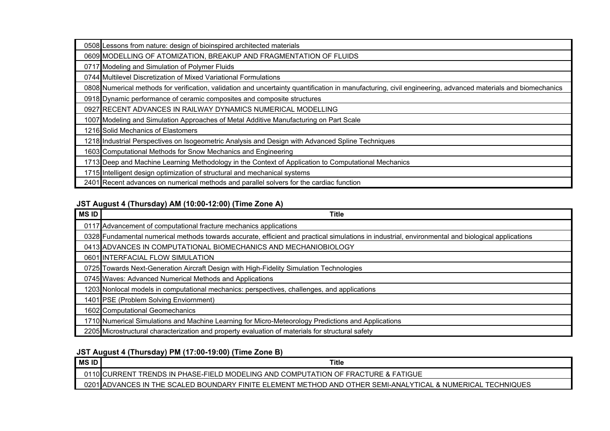| 0508 Lessons from nature: design of bioinspired architected materials                                                                                       |
|-------------------------------------------------------------------------------------------------------------------------------------------------------------|
| 0609 MODELLING OF ATOMIZATION, BREAKUP AND FRAGMENTATION OF FLUIDS                                                                                          |
| 0717 Modeling and Simulation of Polymer Fluids                                                                                                              |
| 0744 Multilevel Discretization of Mixed Variational Formulations                                                                                            |
| 0808 Numerical methods for verification, validation and uncertainty quantification in manufacturing, civil engineering, advanced materials and biomechanics |
| 0918 Dynamic performance of ceramic composites and composite structures                                                                                     |
| 0927 RECENT ADVANCES IN RAILWAY DYNAMICS NUMERICAL MODELLING                                                                                                |
| 1007 Modeling and Simulation Approaches of Metal Additive Manufacturing on Part Scale                                                                       |
| 1216 Solid Mechanics of Elastomers                                                                                                                          |
| 1218 Industrial Perspectives on Isogeometric Analysis and Design with Advanced Spline Techniques                                                            |
| 1603 Computational Methods for Snow Mechanics and Engineering                                                                                               |
| 1713 Deep and Machine Learning Methodology in the Context of Application to Computational Mechanics                                                         |
| 1715 Intelligent design optimization of structural and mechanical systems                                                                                   |
| 2401 Recent advances on numerical methods and parallel solvers for the cardiac function                                                                     |

## **JST August 4 (Thursday) AM (10:00-12:00) (Time Zone A)**

| <b>MSID</b> | Title                                                                                                                                             |
|-------------|---------------------------------------------------------------------------------------------------------------------------------------------------|
|             | 0117 Advancement of computational fracture mechanics applications                                                                                 |
|             | 0328 Fundamental numerical methods towards accurate, efficient and practical simulations in industrial, environmental and biological applications |
|             | 0413 ADVANCES IN COMPUTATIONAL BIOMECHANICS AND MECHANIOBIOLOGY                                                                                   |
|             | 0601 INTERFACIAL FLOW SIMULATION                                                                                                                  |
|             | 0725 Towards Next-Generation Aircraft Design with High-Fidelity Simulation Technologies                                                           |
|             | 0745 Waves: Advanced Numerical Methods and Applications                                                                                           |
|             | 1203 Nonlocal models in computational mechanics: perspectives, challenges, and applications                                                       |
|             | 1401 PSE (Problem Solving Enviornment)                                                                                                            |
|             | 1602 Computational Geomechanics                                                                                                                   |
|             | 1710 Numerical Simulations and Machine Learning for Micro-Meteorology Predictions and Applications                                                |
|             | 2205 Microstructural characterization and property evaluation of materials for structural safety                                                  |

# **JST August 4 (Thursday) PM (17:00-19:00) (Time Zone B)**

| <b>MSID</b> | <b>Title</b>                                                                                                |
|-------------|-------------------------------------------------------------------------------------------------------------|
|             | TRENDS IN PHASE-FIELD MODELING AND COMPUTATION OF FRACTURE & FATIGUE<br>URRENT :                            |
|             | 0201 ADVANCES IN THE SCALED BOUNDARY FINITE ELEMENT METHOD AND OTHER SEMI-ANALYTICAL & NUMERICAL TECHNIQUES |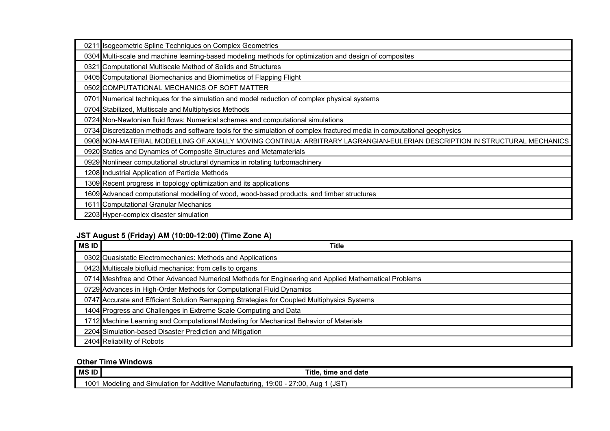| 0211 Isogeometric Spline Techniques on Complex Geometries                                                                 |
|---------------------------------------------------------------------------------------------------------------------------|
| 0304 Multi-scale and machine learning-based modeling methods for optimization and design of composites                    |
| 0321 Computational Multiscale Method of Solids and Structures                                                             |
| 0405 Computational Biomechanics and Biomimetics of Flapping Flight                                                        |
| 0502 COMPUTATIONAL MECHANICS OF SOFT MATTER                                                                               |
| 0701 Numerical techniques for the simulation and model reduction of complex physical systems                              |
| 0704 Stabilized, Multiscale and Multiphysics Methods                                                                      |
| 0724 Non-Newtonian fluid flows: Numerical schemes and computational simulations                                           |
| 0734 Discretization methods and software tools for the simulation of complex fractured media in computational geophysics  |
| 0908 NON-MATERIAL MODELLING OF AXIALLY MOVING CONTINUA: ARBITRARY LAGRANGIAN-EULERIAN DESCRIPTION IN STRUCTURAL MECHANICS |
| 0920 Statics and Dynamics of Composite Structures and Metamaterials                                                       |
| 0929 Nonlinear computational structural dynamics in rotating turbomachinery                                               |
| 1208 Industrial Application of Particle Methods                                                                           |
| 1309 Recent progress in topology optimization and its applications                                                        |
| 1609 Advanced computational modelling of wood, wood-based products, and timber structures                                 |
| 1611 Computational Granular Mechanics                                                                                     |
| 2203 Hyper-complex disaster simulation                                                                                    |

# **JST August 5 (Friday) AM (10:00-12:00) (Time Zone A)**

| <b>MSID</b> | Title                                                                                                |
|-------------|------------------------------------------------------------------------------------------------------|
|             | 0302 Quasistatic Electromechanics: Methods and Applications                                          |
|             | 0423 Multiscale biofluid mechanics: from cells to organs                                             |
|             | 0714 Meshfree and Other Advanced Numerical Methods for Engineering and Applied Mathematical Problems |
|             | 0729 Advances in High-Order Methods for Computational Fluid Dynamics                                 |
|             | 0747 Accurate and Efficient Solution Remapping Strategies for Coupled Multiphysics Systems           |
|             | 1404 Progress and Challenges in Extreme Scale Computing and Data                                     |
|             | 1712 Machine Learning and Computational Modeling for Mechanical Behavior of Materials                |
|             | 2204 Simulation-based Disaster Prediction and Mitigation                                             |
|             | 2404 Reliability of Robots                                                                           |

#### **Other Time Windows**

| <b>MS ID</b> | <b>Title</b><br>time and date                                                                                                                   |
|--------------|-------------------------------------------------------------------------------------------------------------------------------------------------|
| $\sim$<br>vv | (JS <sup>-</sup><br>7:00,<br>~-<br>19:00<br>Additive Manufacturing,<br>ılatıon<br>.n for l<br>. Simul^<br>∵1 IModelind ano .<br>Aua<br><u>_</u> |